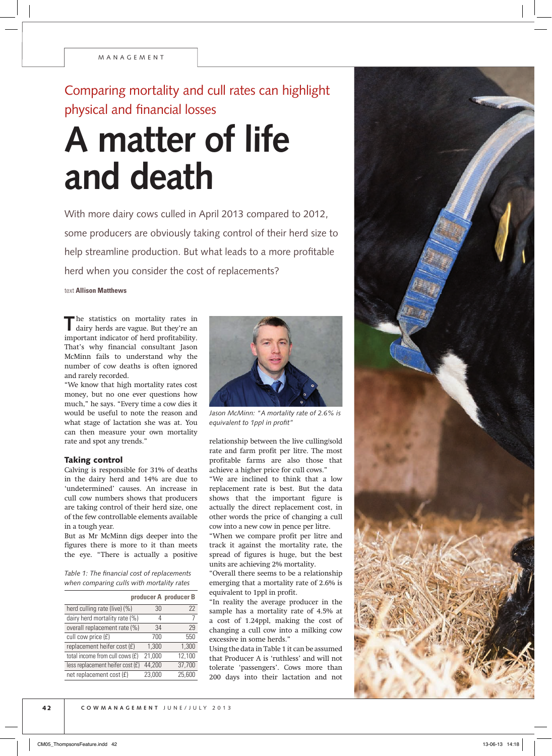## Comparing mortality and cull rates can highlight physical and financial losses

## **A matter of life and death**

With more dairy cows culled in April 2013 compared to 2012, some producers are obviously taking control of their herd size to help streamline production. But what leads to a more profitable herd when you consider the cost of replacements?

text **Allison Matthews**

The statistics on mortality rates in dairy herds are vague. But they're an important indicator of herd profitability. That's why financial consultant Jason McMinn fails to understand why the number of cow deaths is often ignored and rarely recorded.

"We know that high mortality rates cost money, but no one ever questions how much," he says. "Every time a cow dies it would be useful to note the reason and what stage of lactation she was at. You can then measure your own mortality rate and spot any trends."

## Taking control

Calving is responsible for 31% of deaths in the dairy herd and 14% are due to 'undetermined' causes. An increase in cull cow numbers shows that producers are taking control of their herd size, one of the few controllable elements available in a tough year.

But as Mr McMinn digs deeper into the figures there is more to it than meets the eye. "There is actually a positive

*Table 1: The financial cost of replacements when comparing culls with mortality rates*

|                                    |        | producer A producer B |
|------------------------------------|--------|-----------------------|
| herd culling rate (live) (%)       | 30     | 22                    |
| dairy herd mortality rate (%)      | 4      |                       |
| overall replacement rate (%)       | 34     | 29                    |
| cull cow price (£)                 | 700    | 550                   |
| replacement heifer cost (£)        | 1,300  | 1,300                 |
| total income from cull cows (£)    | 21,000 | 12,100                |
| less replacement heifer cost $(E)$ | 44,200 | 37,700                |
| net replacement cost (£)           | 23,000 | 25,600                |



*Jason McMinn: "A mortality rate of 2.6% is equivalent to 1ppl in profit"*

relationship between the live culling/sold rate and farm profit per litre. The most profitable farms are also those that achieve a higher price for cull cows."

"We are inclined to think that a low replacement rate is best. But the data shows that the important figure is actually the direct replacement cost, in other words the price of changing a cull cow into a new cow in pence per litre.

"When we compare profit per litre and track it against the mortality rate, the spread of figures is huge, but the best units are achieving 2% mortality.

"Overall there seems to be a relationship emerging that a mortality rate of 2.6% is equivalent to 1ppl in profit.

"In reality the average producer in the sample has a mortality rate of 4.5% at a cost of 1.24ppl, making the cost of changing a cull cow into a milking cow excessive in some herds."

Using the data in Table 1 it can be assumed that Producer A is 'ruthless' and will not tolerate 'passengers'. Cows more than 200 days into their lactation and not